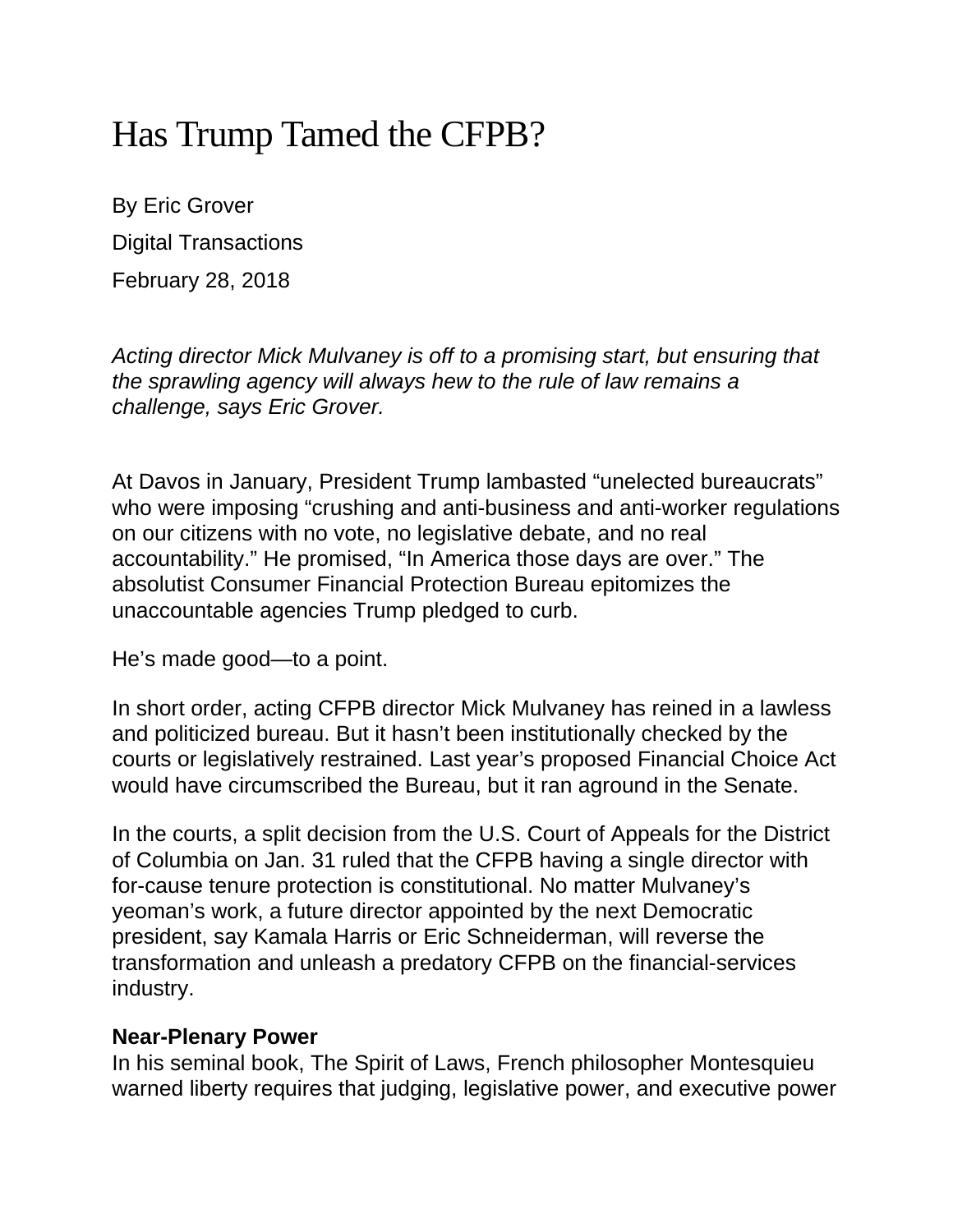## Has Trump Tamed the CFPB?

By Eric Grover Digital Transactions February 28, 2018

*Acting director Mick Mulvaney is off to a promising start, but ensuring that the sprawling agency will always hew to the rule of law remains a challenge, says Eric Grover.*

At Davos in January, President Trump lambasted "unelected bureaucrats" who were imposing "crushing and anti-business and anti-worker regulations on our citizens with no vote, no legislative debate, and no real accountability." He promised, "In America those days are over." The absolutist Consumer Financial Protection Bureau epitomizes the unaccountable agencies Trump pledged to curb.

He's made good—to a point.

In short order, acting CFPB director Mick Mulvaney has reined in a lawless and politicized bureau. But it hasn't been institutionally checked by the courts or legislatively restrained. Last year's proposed Financial Choice Act would have circumscribed the Bureau, but it ran aground in the Senate.

In the courts, a split decision from the U.S. Court of Appeals for the District of Columbia on Jan. 31 ruled that the CFPB having a single director with for-cause tenure protection is constitutional. No matter Mulvaney's yeoman's work, a future director appointed by the next Democratic president, say Kamala Harris or Eric Schneiderman, will reverse the transformation and unleash a predatory CFPB on the financial-services industry.

## **Near-Plenary Power**

In his seminal book, The Spirit of Laws, French philosopher Montesquieu warned liberty requires that judging, legislative power, and executive power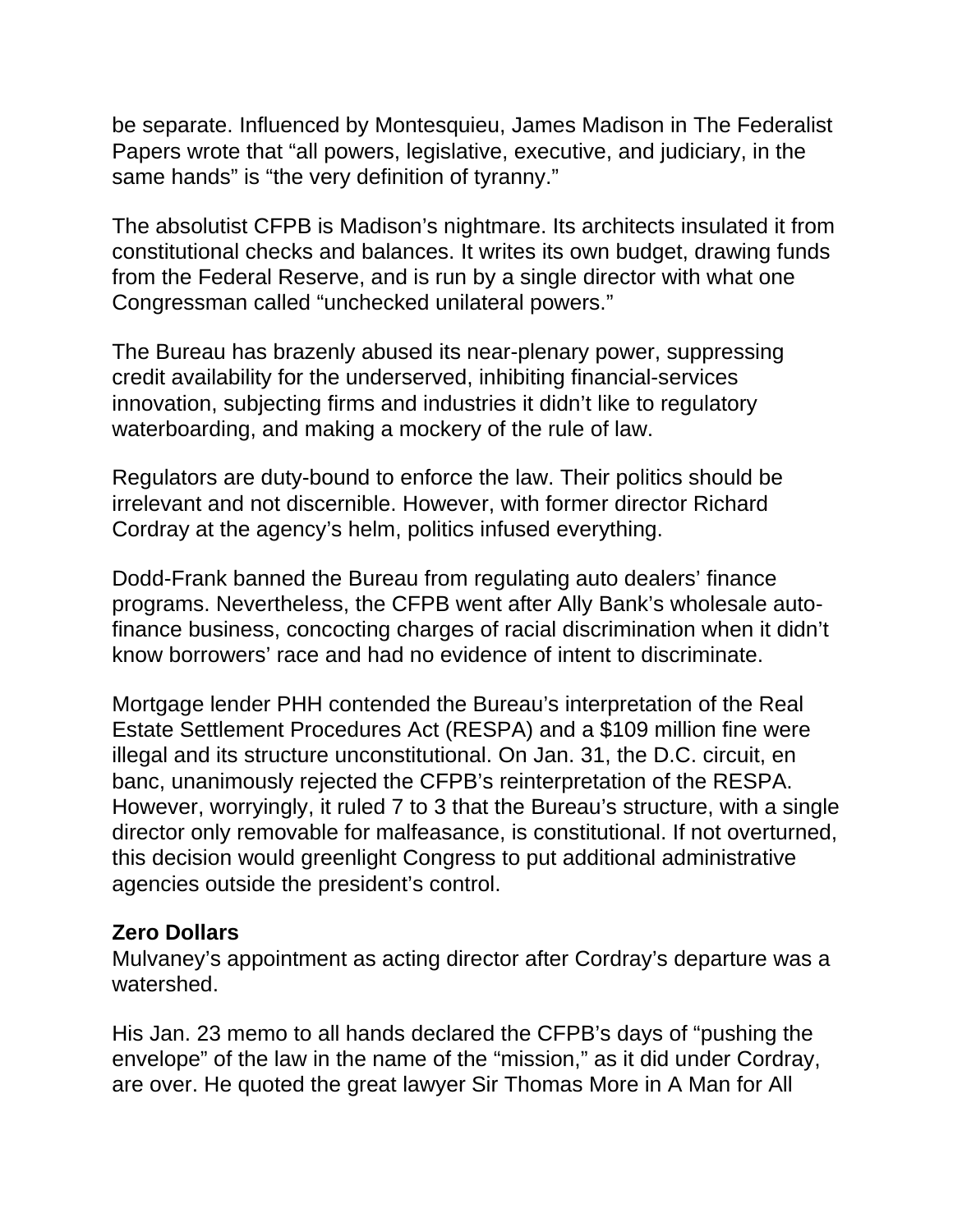be separate. Influenced by Montesquieu, James Madison in The Federalist Papers wrote that "all powers, legislative, executive, and judiciary, in the same hands" is "the very definition of tyranny."

The absolutist CFPB is Madison's nightmare. Its architects insulated it from constitutional checks and balances. It writes its own budget, drawing funds from the Federal Reserve, and is run by a single director with what one Congressman called "unchecked unilateral powers."

The Bureau has brazenly abused its near-plenary power, suppressing credit availability for the underserved, inhibiting financial-services innovation, subjecting firms and industries it didn't like to regulatory waterboarding, and making a mockery of the rule of law.

Regulators are duty-bound to enforce the law. Their politics should be irrelevant and not discernible. However, with former director Richard Cordray at the agency's helm, politics infused everything.

Dodd-Frank banned the Bureau from regulating auto dealers' finance programs. Nevertheless, the CFPB went after Ally Bank's wholesale autofinance business, concocting charges of racial discrimination when it didn't know borrowers' race and had no evidence of intent to discriminate.

Mortgage lender PHH contended the Bureau's interpretation of the Real Estate Settlement Procedures Act (RESPA) and a \$109 million fine were illegal and its structure unconstitutional. On Jan. 31, the D.C. circuit, en banc, unanimously rejected the CFPB's reinterpretation of the RESPA. However, worryingly, it ruled 7 to 3 that the Bureau's structure, with a single director only removable for malfeasance, is constitutional. If not overturned, this decision would greenlight Congress to put additional administrative agencies outside the president's control.

## **Zero Dollars**

Mulvaney's appointment as acting director after Cordray's departure was a watershed.

His Jan. 23 memo to all hands declared the CFPB's days of "pushing the envelope" of the law in the name of the "mission," as it did under Cordray, are over. He quoted the great lawyer Sir Thomas More in A Man for All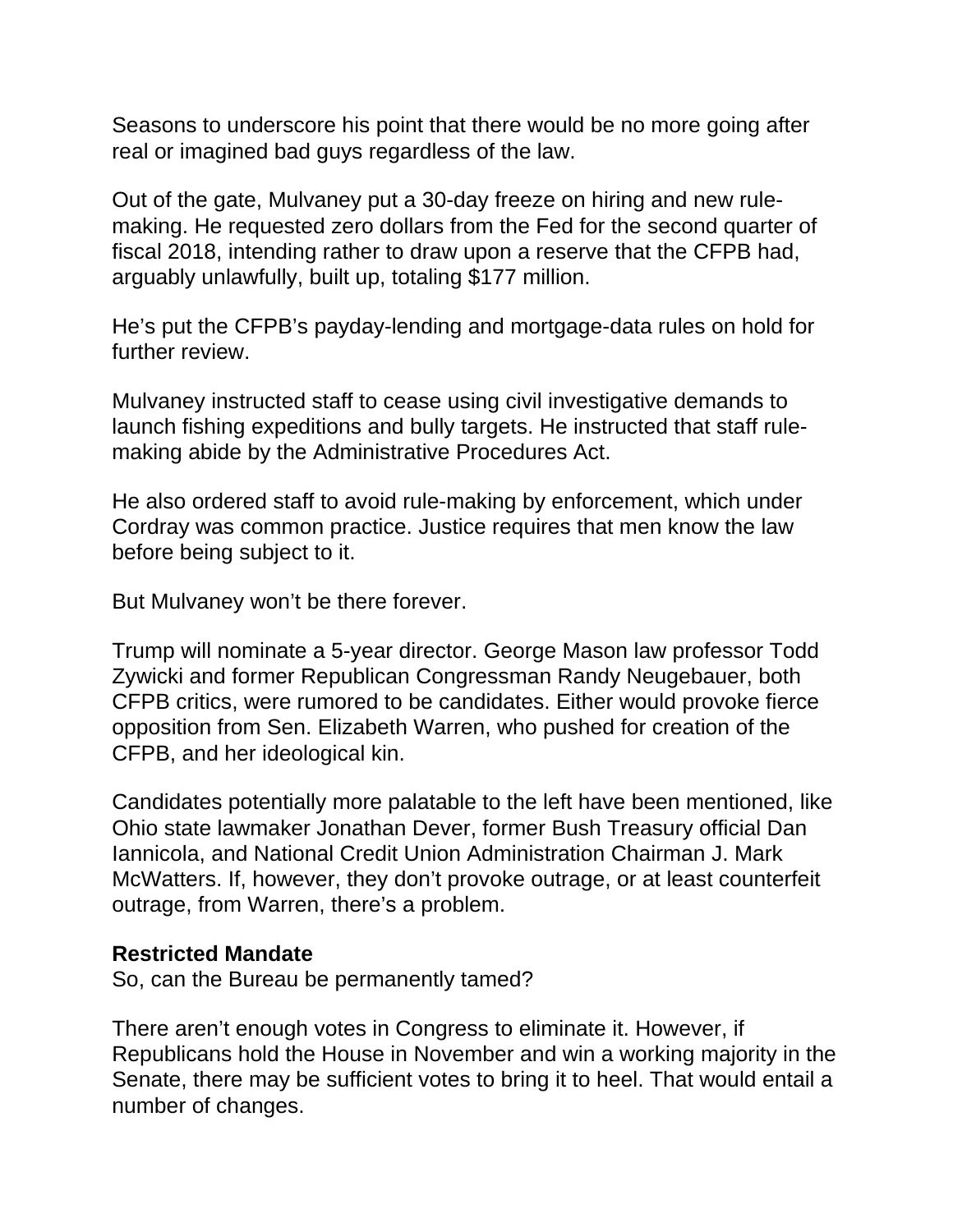Seasons to underscore his point that there would be no more going after real or imagined bad guys regardless of the law.

Out of the gate, Mulvaney put a 30-day freeze on hiring and new rulemaking. He requested zero dollars from the Fed for the second quarter of fiscal 2018, intending rather to draw upon a reserve that the CFPB had, arguably unlawfully, built up, totaling \$177 million.

He's put the CFPB's payday-lending and mortgage-data rules on hold for further review.

Mulvaney instructed staff to cease using civil investigative demands to launch fishing expeditions and bully targets. He instructed that staff rulemaking abide by the Administrative Procedures Act.

He also ordered staff to avoid rule-making by enforcement, which under Cordray was common practice. Justice requires that men know the law before being subject to it.

But Mulvaney won't be there forever.

Trump will nominate a 5-year director. George Mason law professor Todd Zywicki and former Republican Congressman Randy Neugebauer, both CFPB critics, were rumored to be candidates. Either would provoke fierce opposition from Sen. Elizabeth Warren, who pushed for creation of the CFPB, and her ideological kin.

Candidates potentially more palatable to the left have been mentioned, like Ohio state lawmaker Jonathan Dever, former Bush Treasury official Dan Iannicola, and National Credit Union Administration Chairman J. Mark McWatters. If, however, they don't provoke outrage, or at least counterfeit outrage, from Warren, there's a problem.

## **Restricted Mandate**

So, can the Bureau be permanently tamed?

There aren't enough votes in Congress to eliminate it. However, if Republicans hold the House in November and win a working majority in the Senate, there may be sufficient votes to bring it to heel. That would entail a number of changes.